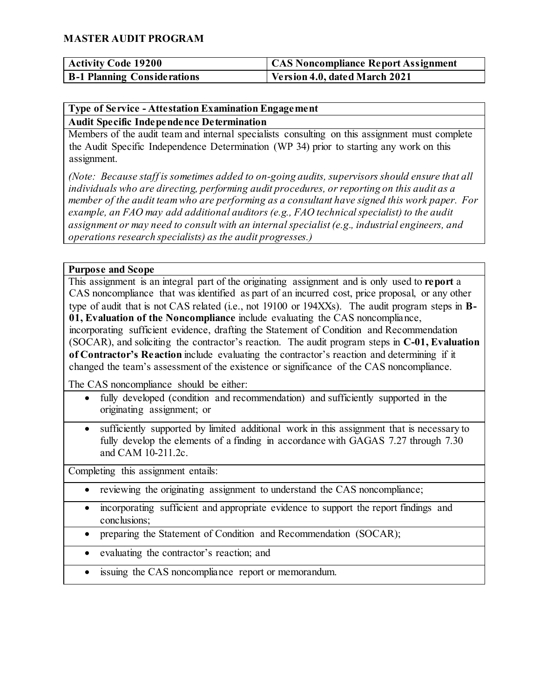| <b>Activity Code 19200</b>         | CAS Noncompliance Report Assignment |
|------------------------------------|-------------------------------------|
| <b>B-1 Planning Considerations</b> | Version 4.0, dated March 2021       |

### **Type of Service - Attestation Examination Engagement Audit Specific Independence Determination**

Members of the audit team and internal specialists consulting on this assignment must complete the Audit Specific Independence Determination (WP 34) prior to starting any work on this assignment.

*(Note: Because staff is sometimes added to on-going audits, supervisors should ensure that all individuals who are directing, performing audit procedures, or reporting on this audit as a member of the audit team who are performing as a consultant have signed this work paper. For example, an FAO may add additional auditors (e.g., FAO technical specialist) to the audit assignment or may need to consult with an internal specialist (e.g., industrial engineers, and operations research specialists) as the audit progresses.)*

#### **Purpose and Scope**

This assignment is an integral part of the originating assignment and is only used to **report** a CAS noncompliance that was identified as part of an incurred cost, price proposal, or any other type of audit that is not CAS related (i.e., not 19100 or 194XXs). The audit program steps in **B-01, Evaluation of the Noncompliance** include evaluating the CAS noncompliance, incorporating sufficient evidence, drafting the Statement of Condition and Recommendation (SOCAR), and soliciting the contractor's reaction. The audit program steps in **C-01, Evaluation of Contractor's Reaction** include evaluating the contractor's reaction and determining if it changed the team's assessment of the existence or significance of the CAS noncompliance.

The CAS noncompliance should be either:

- fully developed (condition and recommendation) and sufficiently supported in the originating assignment; or
- sufficiently supported by limited additional work in this assignment that is necessary to fully develop the elements of a finding in accordance with GAGAS 7.27 through 7.30 and CAM 10-211.2c.

Completing this assignment entails:

- reviewing the originating assignment to understand the CAS noncompliance;
- incorporating sufficient and appropriate evidence to support the report findings and conclusions;
- preparing the Statement of Condition and Recommendation (SOCAR);
- evaluating the contractor's reaction; and
- issuing the CAS noncompliance report or memorandum.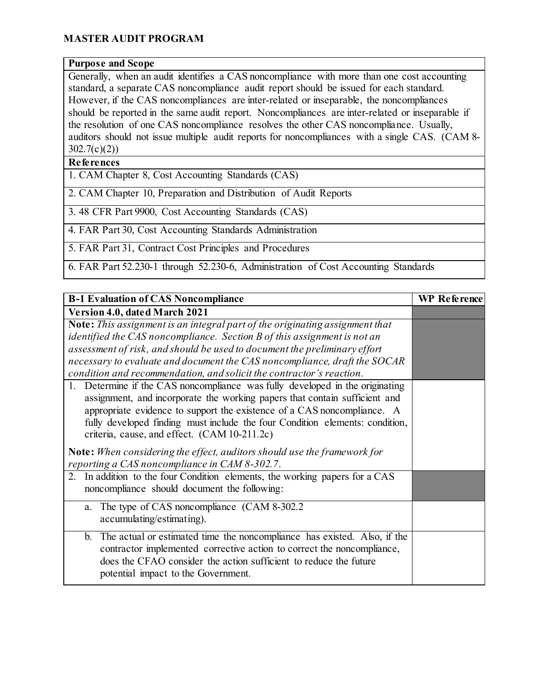#### **Purpose and Scope**

Generally, when an audit identifies a CAS noncompliance with more than one cost accounting standard, a separate CAS noncompliance audit report should be issued for each standard. However, if the CAS noncompliances are inter-related or inseparable, the noncompliances should be reported in the same audit report. Noncompliances are inter-related or inseparable if the resolution of one CAS noncompliance resolves the other CAS noncompliance. Usually, auditors should not issue multiple audit reports for noncompliances with a single CAS. (CAM 8-  $302.7(c)(2)$ 

### **References**

1. CAM Chapter 8, Cost Accounting Standards (CAS)

2. CAM Chapter 10, Preparation and Distribution of Audit Reports

3. 48 CFR Part 9900, Cost Accounting Standards (CAS)

4. FAR Part 30, Cost Accounting Standards Administration

5. FAR Part 31, Contract Cost Principles and Procedures

6. FAR Part 52.230-1 through 52.230-6, Administration of Cost Accounting Standards

| <b>B-1 Evaluation of CAS Noncompliance</b>                                                                                                                                                                                                                        | <b>WP</b> Reference |
|-------------------------------------------------------------------------------------------------------------------------------------------------------------------------------------------------------------------------------------------------------------------|---------------------|
| <b>Version 4.0, dated March 2021</b>                                                                                                                                                                                                                              |                     |
| Note: This assignment is an integral part of the originating assignment that                                                                                                                                                                                      |                     |
| identified the CAS noncompliance. Section B of this assignment is not an                                                                                                                                                                                          |                     |
| assessment of risk, and should be used to document the preliminary effort                                                                                                                                                                                         |                     |
| necessary to evaluate and document the CAS noncompliance, draft the SOCAR                                                                                                                                                                                         |                     |
| condition and recommendation, and solicit the contractor's reaction.                                                                                                                                                                                              |                     |
| 1. Determine if the CAS noncompliance was fully developed in the originating<br>assignment, and incorporate the working papers that contain sufficient and<br>appropriate evidence to support the existence of a CAS noncompliance. A                             |                     |
| fully developed finding must include the four Condition elements: condition,                                                                                                                                                                                      |                     |
| criteria, cause, and effect. (CAM 10-211.2c)                                                                                                                                                                                                                      |                     |
| <b>Note:</b> When considering the effect, auditors should use the framework for<br>reporting a CAS noncompliance in CAM 8-302.7.                                                                                                                                  |                     |
| 2. In addition to the four Condition elements, the working papers for a CAS<br>noncompliance should document the following:                                                                                                                                       |                     |
| The type of CAS noncompliance (CAM 8-302.2)<br>a.<br>accumulating/estimating).                                                                                                                                                                                    |                     |
| b. The actual or estimated time the noncompliance has existed. Also, if the<br>contractor implemented corrective action to correct the noncompliance,<br>does the CFAO consider the action sufficient to reduce the future<br>potential impact to the Government. |                     |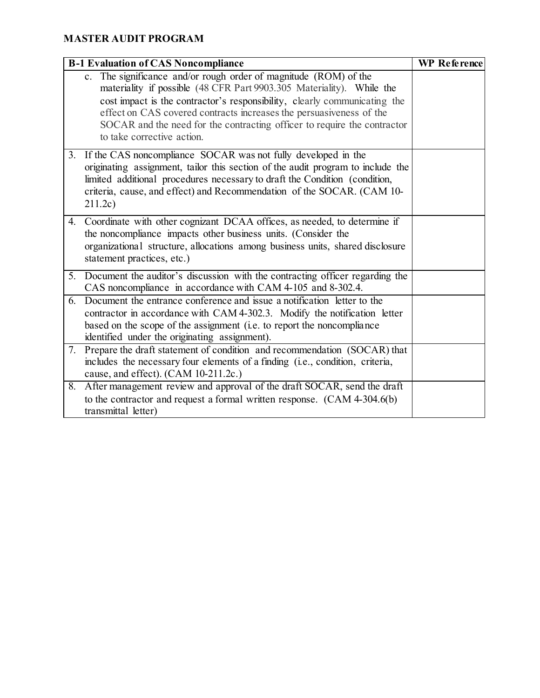| <b>B-1 Evaluation of CAS Noncompliance</b> |                                                                                                                                                                                                                                                                                                                                                                                                         | <b>WP</b> Reference |
|--------------------------------------------|---------------------------------------------------------------------------------------------------------------------------------------------------------------------------------------------------------------------------------------------------------------------------------------------------------------------------------------------------------------------------------------------------------|---------------------|
|                                            | c. The significance and/or rough order of magnitude (ROM) of the<br>materiality if possible (48 CFR Part 9903.305 Materiality). While the<br>cost impact is the contractor's responsibility, clearly communicating the<br>effect on CAS covered contracts increases the persuasiveness of the<br>SOCAR and the need for the contracting officer to require the contractor<br>to take corrective action. |                     |
|                                            | 3. If the CAS noncompliance SOCAR was not fully developed in the<br>originating assignment, tailor this section of the audit program to include the<br>limited additional procedures necessary to draft the Condition (condition,<br>criteria, cause, and effect) and Recommendation of the SOCAR. (CAM 10-<br>211.2c)                                                                                  |                     |
|                                            | 4. Coordinate with other cognizant DCAA offices, as needed, to determine if<br>the noncompliance impacts other business units. (Consider the<br>organizational structure, allocations among business units, shared disclosure<br>statement practices, etc.)                                                                                                                                             |                     |
|                                            | 5. Document the auditor's discussion with the contracting officer regarding the<br>CAS noncompliance in accordance with CAM 4-105 and 8-302.4.                                                                                                                                                                                                                                                          |                     |
|                                            | 6. Document the entrance conference and issue a notification letter to the<br>contractor in accordance with CAM 4-302.3. Modify the notification letter<br>based on the scope of the assignment (i.e. to report the noncompliance<br>identified under the originating assignment).                                                                                                                      |                     |
|                                            | 7. Prepare the draft statement of condition and recommendation (SOCAR) that<br>includes the necessary four elements of a finding (i.e., condition, criteria,<br>cause, and effect). (CAM 10-211.2c.)                                                                                                                                                                                                    |                     |
| 8.                                         | After management review and approval of the draft SOCAR, send the draft<br>to the contractor and request a formal written response. (CAM 4-304.6(b)<br>transmittal letter)                                                                                                                                                                                                                              |                     |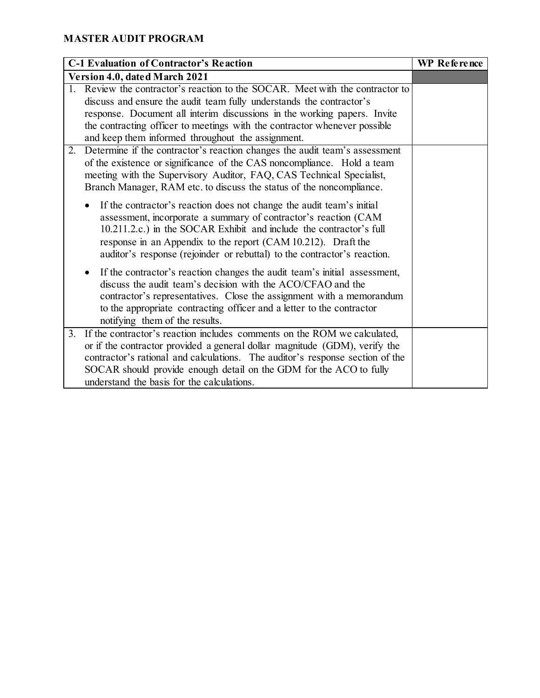| <b>C-1 Evaluation of Contractor's Reaction</b> |                                                                               | WP Reference |
|------------------------------------------------|-------------------------------------------------------------------------------|--------------|
| Version 4.0, dated March 2021                  |                                                                               |              |
|                                                | 1. Review the contractor's reaction to the SOCAR. Meet with the contractor to |              |
|                                                | discuss and ensure the audit team fully understands the contractor's          |              |
|                                                | response. Document all interim discussions in the working papers. Invite      |              |
|                                                | the contracting officer to meetings with the contractor whenever possible     |              |
|                                                | and keep them informed throughout the assignment.                             |              |
| 2.                                             | Determine if the contractor's reaction changes the audit team's assessment    |              |
|                                                | of the existence or significance of the CAS noncompliance. Hold a team        |              |
|                                                | meeting with the Supervisory Auditor, FAQ, CAS Technical Specialist,          |              |
|                                                | Branch Manager, RAM etc. to discuss the status of the noncompliance.          |              |
|                                                | If the contractor's reaction does not change the audit team's initial         |              |
|                                                | assessment, incorporate a summary of contractor's reaction (CAM               |              |
|                                                | 10.211.2.c.) in the SOCAR Exhibit and include the contractor's full           |              |
|                                                | response in an Appendix to the report (CAM 10.212). Draft the                 |              |
|                                                | auditor's response (rejoinder or rebuttal) to the contractor's reaction.      |              |
|                                                | If the contractor's reaction changes the audit team's initial assessment,     |              |
|                                                | discuss the audit team's decision with the ACO/CFAO and the                   |              |
|                                                | contractor's representatives. Close the assignment with a memorandum          |              |
|                                                | to the appropriate contracting officer and a letter to the contractor         |              |
|                                                | notifying them of the results.                                                |              |
| $\overline{3}$ .                               | If the contractor's reaction includes comments on the ROM we calculated,      |              |
|                                                | or if the contractor provided a general dollar magnitude (GDM), verify the    |              |
|                                                | contractor's rational and calculations. The auditor's response section of the |              |
|                                                | SOCAR should provide enough detail on the GDM for the ACO to fully            |              |
|                                                | understand the basis for the calculations.                                    |              |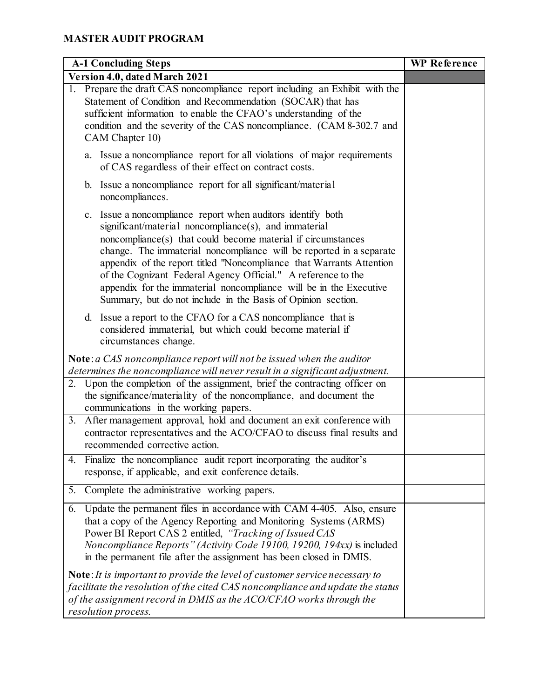| <b>A-1 Concluding Steps</b>                                                                                                                                                                                                                                                                                                                                                                                                                                                                                                                | <b>WP</b> Reference |
|--------------------------------------------------------------------------------------------------------------------------------------------------------------------------------------------------------------------------------------------------------------------------------------------------------------------------------------------------------------------------------------------------------------------------------------------------------------------------------------------------------------------------------------------|---------------------|
| Version 4.0, dated March 2021                                                                                                                                                                                                                                                                                                                                                                                                                                                                                                              |                     |
| 1. Prepare the draft CAS noncompliance report including an Exhibit with the<br>Statement of Condition and Recommendation (SOCAR) that has<br>sufficient information to enable the CFAO's understanding of the<br>condition and the severity of the CAS noncompliance. (CAM 8-302.7 and<br>CAM Chapter 10)                                                                                                                                                                                                                                  |                     |
| Issue a noncompliance report for all violations of major requirements<br>a.<br>of CAS regardless of their effect on contract costs.                                                                                                                                                                                                                                                                                                                                                                                                        |                     |
| b. Issue a noncompliance report for all significant/material<br>noncompliances.                                                                                                                                                                                                                                                                                                                                                                                                                                                            |                     |
| c. Issue a noncompliance report when auditors identify both<br>significant/material noncompliance(s), and immaterial<br>noncompliance(s) that could become material if circumstances<br>change. The immaterial noncompliance will be reported in a separate<br>appendix of the report titled "Noncompliance that Warrants Attention<br>of the Cognizant Federal Agency Official." A reference to the<br>appendix for the immaterial noncompliance will be in the Executive<br>Summary, but do not include in the Basis of Opinion section. |                     |
| d. Issue a report to the CFAO for a CAS noncompliance that is<br>considered immaterial, but which could become material if<br>circumstances change.                                                                                                                                                                                                                                                                                                                                                                                        |                     |
| Note: $a$ CAS noncompliance report will not be issued when the auditor<br>determines the noncompliance will never result in a significant adjustment.                                                                                                                                                                                                                                                                                                                                                                                      |                     |
| 2. Upon the completion of the assignment, brief the contracting officer on<br>the significance/materiality of the noncompliance, and document the<br>communications in the working papers.                                                                                                                                                                                                                                                                                                                                                 |                     |
| 3. After management approval, hold and document an exit conference with<br>contractor representatives and the ACO/CFAO to discuss final results and<br>recommended corrective action.                                                                                                                                                                                                                                                                                                                                                      |                     |
| Finalize the noncompliance audit report incorporating the auditor's<br>4.<br>response, if applicable, and exit conference details.                                                                                                                                                                                                                                                                                                                                                                                                         |                     |
| Complete the administrative working papers.<br>5.                                                                                                                                                                                                                                                                                                                                                                                                                                                                                          |                     |
| Update the permanent files in accordance with CAM 4-405. Also, ensure<br>6.<br>that a copy of the Agency Reporting and Monitoring Systems (ARMS)<br>Power BI Report CAS 2 entitled, "Tracking of Issued CAS<br>Noncompliance Reports" (Activity Code 19100, 19200, 194xx) is included<br>in the permanent file after the assignment has been closed in DMIS.                                                                                                                                                                               |                     |
| Note: It is important to provide the level of customer service necessary to<br>facilitate the resolution of the cited CAS noncompliance and update the status<br>of the assignment record in DMIS as the ACO/CFAO works through the<br>resolution process.                                                                                                                                                                                                                                                                                 |                     |